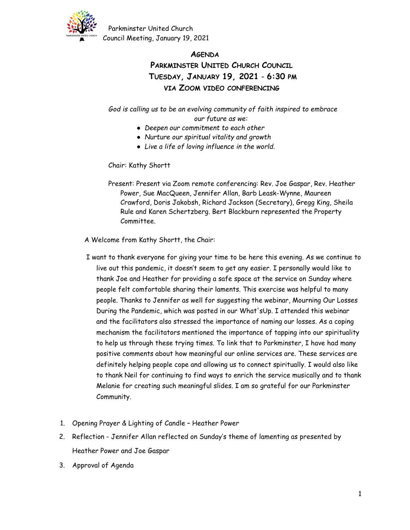

## **AGENDA PARKMINSTER UNITED CHURCH COUNCIL TUESDAY, JANUARY 19, 2021** - **6:30 PM VIA ZOOM VIDEO CONFERENCING**

*God is calling us to be an evolving community of faith inspired to embrace our future as we:*

- *Deepen our commitment to each other*
- *Nurture our spiritual vitality and growth*
- *Live a life of loving influence in the world.*

Chair: Kathy Shortt

Present: Present via Zoom remote conferencing: Rev. Joe Gaspar, Rev. Heather Power, Sue MacQueen, Jennifer Allan, Barb Leask-Wynne, Maureen Crawford, Doris Jakobsh, Richard Jackson (Secretary), Gregg King, Sheila Rule and Karen Schertzberg. Bert Blackburn represented the Property Committee.

A Welcome from Kathy Shortt, the Chair:

- I want to thank everyone for giving your time to be here this evening. As we continue to live out this pandemic, it doesn't seem to get any easier. I personally would like to thank Joe and Heather for providing a safe space at the service on Sunday where people felt comfortable sharing their laments. This exercise was helpful to many people. Thanks to Jennifer as well for suggesting the webinar, Mourning Our Losses During the Pandemic, which was posted in our What'sUp. I attended this webinar and the facilitators also stressed the importance of naming our losses. As a coping mechanism the facilitators mentioned the importance of tapping into our spirituality to help us through these trying times. To link that to Parkminster, I have had many positive comments about how meaningful our online services are. These services are definitely helping people cope and allowing us to connect spiritually. I would also like to thank Neil for continuing to find ways to enrich the service musically and to thank Melanie for creating such meaningful slides. I am so grateful for our Parkminster Community.
- 1. Opening Prayer & Lighting of Candle Heather Power
- 2. Reflection Jennifer Allan reflected on Sunday's theme of lamenting as presented by Heather Power and Joe Gaspar
- 3. Approval of Agenda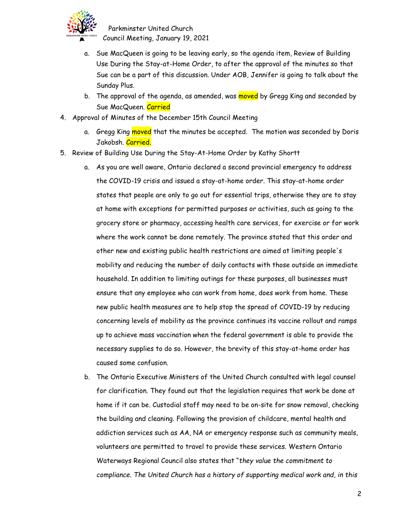

- a. Sue MacQueen is going to be leaving early, so the agenda item, Review of Building Use During the Stay-at-Home Order, to after the approval of the minutes so that Sue can be a part of this discussion. Under AOB, Jennifer is going to talk about the Sunday Plus.
- b. The approval of the agenda, as amended, was <mark>moved</mark> by Gregg King and seconded by Sue MacQueen. Carried
- 4. Approval of Minutes of the December 15th Council Meeting
	- a. Gregg King moved that the minutes be accepted. The motion was seconded by Doris Jakobsh. Carried.
- 5. Review of Building Use During the Stay-At-Home Order by Kathy Shortt
	- a. As you are well aware, Ontario declared a second provincial emergency to address the COVID-19 crisis and issued a stay-at-home order. This stay-at-home order states that people are only to go out for essential trips, otherwise they are to stay at home with exceptions for permitted purposes or activities, such as going to the grocery store or pharmacy, accessing health care services, for exercise or for work where the work cannot be done remotely. The province stated that this order and other new and existing public health restrictions are aimed at limiting people's mobility and reducing the number of daily contacts with those outside an immediate household. In addition to limiting outings for these purposes, all businesses must ensure that any employee who can work from home, does work from home. These new public health measures are to help stop the spread of COVID-19 by reducing concerning levels of mobility as the province continues its vaccine rollout and ramps up to achieve mass vaccination when the federal government is able to provide the necessary supplies to do so. However, the brevity of this stay-at-home order has caused some confusion.
	- b. The Ontario Executive Ministers of the United Church consulted with legal counsel for clarification. They found out that the legislation requires that work be done at home if it can be. Custodial staff may need to be on-site for snow removal, checking the building and cleaning. Following the provision of childcare, mental health and addiction services such as AA, NA or emergency response such as community meals, volunteers are permitted to travel to provide these services. Western Ontario Waterways Regional Council also states that "*they value the commitment to compliance. The United Church has a history of supporting medical work and, in this*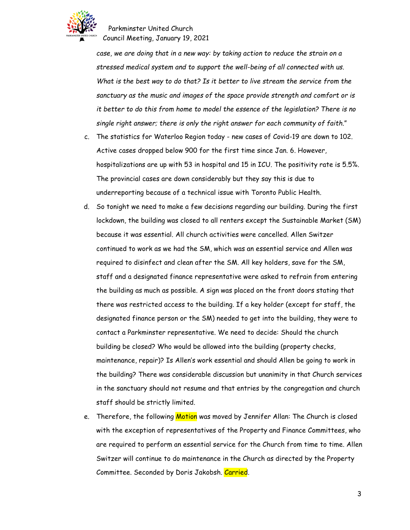

*case, we are doing that in a new way: by taking action to reduce the strain on a stressed medical system and to support the well-being of all connected with us. What is the best way to do that? Is it better to live stream the service from the sanctuary as the music and images of the space provide strength and comfort or is it better to do this from home to model the essence of the legislation? There is no single right answer; there is only the right answer for each community of faith.*"

- c. The statistics for Waterloo Region today new cases of Covid-19 are down to 102. Active cases dropped below 900 for the first time since Jan. 6. However, hospitalizations are up with 53 in hospital and 15 in ICU. The positivity rate is 5.5%. The provincial cases are down considerably but they say this is due to underreporting because of a technical issue with Toronto Public Health.
- d. So tonight we need to make a few decisions regarding our building. During the first lockdown, the building was closed to all renters except the Sustainable Market (SM) because it was essential. All church activities were cancelled. Allen Switzer continued to work as we had the SM, which was an essential service and Allen was required to disinfect and clean after the SM. All key holders, save for the SM, staff and a designated finance representative were asked to refrain from entering the building as much as possible. A sign was placed on the front doors stating that there was restricted access to the building. If a key holder (except for staff, the designated finance person or the SM) needed to get into the building, they were to contact a Parkminster representative. We need to decide: Should the church building be closed? Who would be allowed into the building (property checks, maintenance, repair)? Is Allen's work essential and should Allen be going to work in the building? There was considerable discussion but unanimity in that Church services in the sanctuary should not resume and that entries by the congregation and church staff should be strictly limited.
- e. Therefore, the following Motion was moved by Jennifer Allan: The Church is closed with the exception of representatives of the Property and Finance Committees, who are required to perform an essential service for the Church from time to time. Allen Switzer will continue to do maintenance in the Church as directed by the Property Committee. Seconded by Doris Jakobsh. Carried.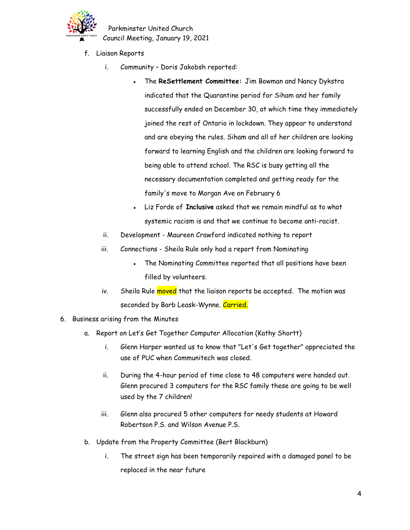

- f. Liaison Reports
	- i. Community Doris Jakobsh reported:
		- The **ReSettlement Committee:** Jim Bowman and Nancy Dykstra indicated that the Quarantine period for Siham and her family successfully ended on December 30, at which time they immediately joined the rest of Ontario in lockdown. They appear to understand and are obeying the rules. Siham and all of her children are looking forward to learning English and the children are looking forward to being able to attend school. The RSC is busy getting all the necessary documentation completed and getting ready for the family's move to Morgan Ave on February 6
		- Liz Forde of **Inclusive** asked that we remain mindful as to what systemic racism is and that we continue to become anti-racist.
	- ii. Development Maureen Crawford indicated nothing to report
	- iii. Connections Sheila Rule only had a report from Nominating
		- The Nominating Committee reported that all positions have been filled by volunteers.
	- iv. Sheila Rule moved that the liaison reports be accepted. The motion was seconded by Barb Leask-Wynne. Carried.
- 6. Business arising from the Minutes
	- a. Report on Let's Get Together Computer Allocation (Kathy Shortt)
		- i. Glenn Harper wanted us to know that "Let's Get together" appreciated the use of PUC when Communitech was closed.
		- ii. During the 4-hour period of time close to 48 computers were handed out. Glenn procured 3 computers for the RSC family these are going to be well used by the 7 children!
		- iii. Glenn also procured 5 other computers for needy students at Howard Robertson P.S. and Wilson Avenue P.S.
	- b. Update from the Property Committee (Bert Blackburn)
		- i. The street sign has been temporarily repaired with a damaged panel to be replaced in the near future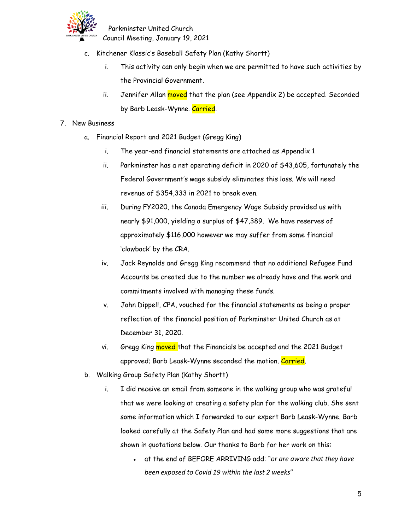

- c. Kitchener Klassic's Baseball Safety Plan (Kathy Shortt)
	- i. This activity can only begin when we are permitted to have such activities by the Provincial Government.
	- ii. Jennifer Allan moved that the plan (see Appendix 2) be accepted. Seconded by Barb Leask-Wynne. Carried.
- 7. New Business
	- a. Financial Report and 2021 Budget (Gregg King)
		- i. The year-end financial statements are attached as Appendix 1
		- ii. Parkminster has a net operating deficit in 2020 of \$43,605, fortunately the Federal Government's wage subsidy eliminates this loss. We will need revenue of \$354,333 in 2021 to break even.
		- iii. During FY2020, the Canada Emergency Wage Subsidy provided us with nearly \$91,000, yielding a surplus of \$47,389. We have reserves of approximately \$116,000 however we may suffer from some financial 'clawback' by the CRA.
		- iv. Jack Reynolds and Gregg King recommend that no additional Refugee Fund Accounts be created due to the number we already have and the work and commitments involved with managing these funds.
		- v. John Dippell, CPA, vouched for the financial statements as being a proper reflection of the financial position of Parkminster United Church as at December 31, 2020.
		- vi. Gregg King moved that the Financials be accepted and the 2021 Budget approved; Barb Leask-Wynne seconded the motion. Carried.
	- b. Walking Group Safety Plan (Kathy Shortt)
		- i. I did receive an email from someone in the walking group who was grateful that we were looking at creating a safety plan for the walking club. She sent some information which I forwarded to our expert Barb Leask-Wynne. Barb looked carefully at the Safety Plan and had some more suggestions that are shown in quotations below. Our thanks to Barb for her work on this:
			- at the end of BEFORE ARRIVING add: "*or are aware that they have been exposed to Covid 19 within the last 2 weeks*"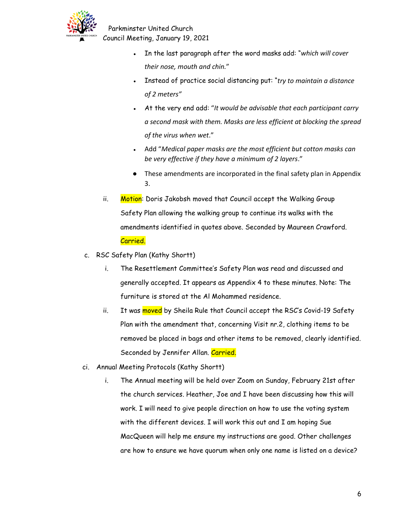

- In the last paragraph after the word masks add: "*which will cover their nose, mouth and chin.*"
- Instead of practice social distancing put: "*try to maintain a distance of 2 meters"*
- At the very end add: "*It would be advisable that each participant carry a second mask with them. Masks are less efficient at blocking the spread of the virus when wet*."
- Add "*Medical paper masks are the most efficient but cotton masks can be very effective if they have a minimum of 2 layers*."
- These amendments are incorporated in the final safety plan in Appendix 3.
- ii. Motion: Doris Jakobsh moved that Council accept the Walking Group Safety Plan allowing the walking group to continue its walks with the amendments identified in quotes above. Seconded by Maureen Crawford. Carried.
- c. RSC Safety Plan (Kathy Shortt)
	- i. The Resettlement Committee's Safety Plan was read and discussed and generally accepted. It appears as Appendix 4 to these minutes. Note: The furniture is stored at the Al Mohammed residence.
	- ii. It was moved by Sheila Rule that Council accept the RSC's Covid-19 Safety Plan with the amendment that, concerning Visit nr.2, clothing items to be removed be placed in bags and other items to be removed, clearly identified. Seconded by Jennifer Allan. Carried.
- ci. Annual Meeting Protocols (Kathy Shortt)
	- i. The Annual meeting will be held over Zoom on Sunday, February 21st after the church services. Heather, Joe and I have been discussing how this will work. I will need to give people direction on how to use the voting system with the different devices. I will work this out and I am hoping Sue MacQueen will help me ensure my instructions are good. Other challenges are how to ensure we have quorum when only one name is listed on a device?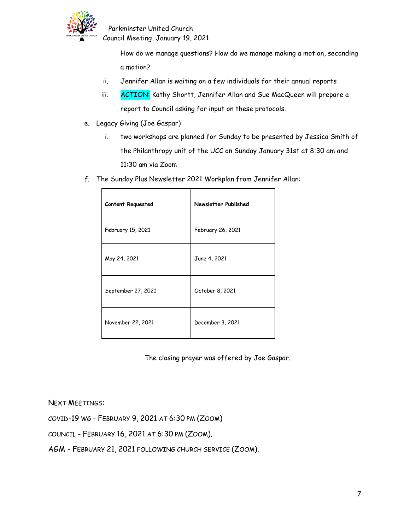

> How do we manage questions? How do we manage making a motion, seconding a motion?

- ii. Jennifer Allan is waiting on a few individuals for their annual reports
- iii. ACTION: Kathy Shortt, Jennifer Allan and Sue MacQueen will prepare a report to Council asking for input on these protocols.
- e. Legacy Giving (Joe Gaspar)
	- i. two workshops are planned for Sunday to be presented by Jessica Smith of the Philanthropy unit of the UCC on Sunday January 31st at 8:30 am and 11:30 am via Zoom
- f. The Sunday Plus Newsletter 2021 Workplan from Jennifer Allan:

| <b>Content Requested</b> | Newsletter Published |
|--------------------------|----------------------|
| February 15, 2021        | February 26, 2021    |
| May 24, 2021             | June 4, 2021         |
| September 27, 2021       | October 8, 2021      |
| November 22, 2021        | December 3, 2021     |

The closing prayer was offered by Joe Gaspar.

NEXT MEETINGS:

COVID-19 WG - FEBRUARY 9, 2021 AT 6:30 PM (ZOOM)

COUNCIL - FEBRUARY 16, 2021 AT 6:30 PM (ZOOM).

AGM - FEBRUARY 21, 2021 FOLLOWING CHURCH SERVICE (ZOOM).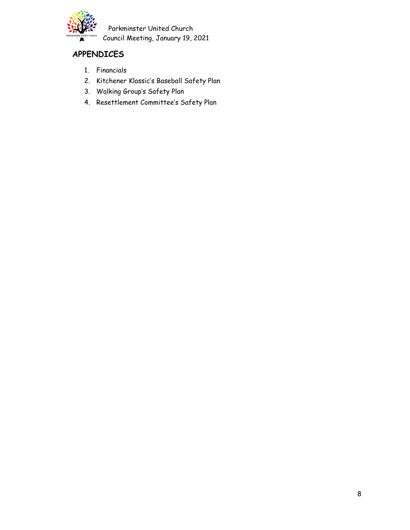

## **APPENDICES**

- 1. Financials
- 2. Kitchener Klassic's Baseball Safety Plan
- 3. Walking Group's Safety Plan
- 4. Resettlement Committee's Safety Plan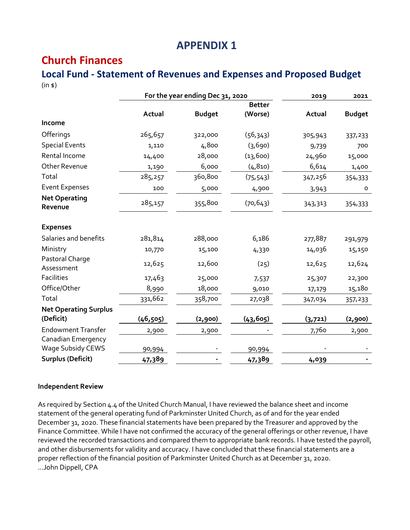## **APPENDIX 1**

## **Church Finances**

### **Local Fund - Statement of Revenues and Expenses and Proposed Budget** (in \$)

|                                                | For the year ending Dec 31, 2020 |               | 2019          | 2021    |               |
|------------------------------------------------|----------------------------------|---------------|---------------|---------|---------------|
|                                                |                                  |               | <b>Better</b> |         |               |
|                                                | Actual                           | <b>Budget</b> | (Worse)       | Actual  | <b>Budget</b> |
| Income                                         |                                  |               |               |         |               |
| Offerings                                      | 265,657                          | 322,000       | (56,343)      | 305,943 | 337,233       |
| <b>Special Events</b>                          | 1,110                            | 4,800         | (3,690)       | 9,739   | 700           |
| Rental Income                                  | 14,400                           | 28,000        | (13, 600)     | 24,960  | 15,000        |
| <b>Other Revenue</b>                           | 1,190                            | 6,000         | (4, 810)      | 6,614   | 1,400         |
| Total                                          | 285,257                          | 360,800       | (75, 543)     | 347,256 | 354,333       |
| <b>Event Expenses</b>                          | 100                              | 5,000         | 4,900         | 3,943   | 0             |
| <b>Net Operating</b><br>Revenue                | 285,157                          | 355,800       | (70, 643)     | 343,313 | 354,333       |
| <b>Expenses</b>                                |                                  |               |               |         |               |
| Salaries and benefits                          | 281,814                          | 288,000       | 6,186         | 277,887 | 291,979       |
| Ministry                                       | 10,770                           | 15,100        | 4,330         | 14,036  | 15,150        |
| Pastoral Charge<br>Assessment                  | 12,625                           | 12,600        | (25)          | 12,625  | 12,624        |
| Facilities                                     | 17,463                           | 25,000        | 7,537         | 25,307  | 22,300        |
| Office/Other                                   | 8,990                            | 18,000        | 9,010         | 17,179  | 15,180        |
| Total                                          | 331,662                          | 358,700       | 27,038        | 347,034 | 357,233       |
| <b>Net Operating Surplus</b><br>(Deficit)      | (46, 505)                        | (2,900)       | (43, 605)     | (3,721) | (2,900)       |
| <b>Endowment Transfer</b>                      | 2,900                            | 2,900         |               | 7,760   | 2,900         |
| <b>Canadian Emergency</b><br>Wage Subsidy CEWS | 90,994                           |               | 90,994        |         |               |
| <b>Surplus (Deficit)</b>                       | 47,389                           |               | 47,389        | 4,039   |               |

### **Independent Review**

As required by Section 4.4 of the United Church Manual, I have reviewed the balance sheet and income statement of the general operating fund of Parkminster United Church, as of and for the year ended December 31, 2020. These financial statements have been prepared by the Treasurer and approved by the Finance Committee. While I have not confirmed the accuracy of the general offerings or other revenue, I have reviewed the recorded transactions and compared them to appropriate bank records. I have tested the payroll, and other disbursements for validity and accuracy. I have concluded that these financial statements are a proper reflection of the financial position of Parkminster United Church as at December 31, 2020. ...John Dippell, CPA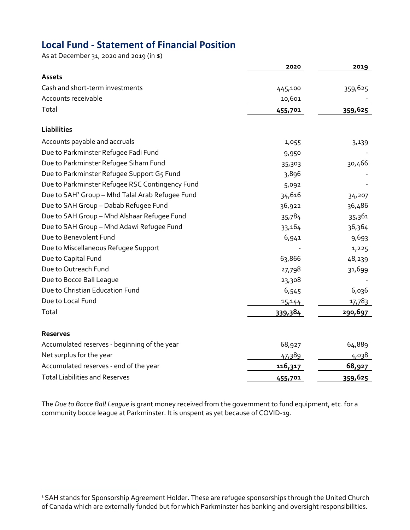# **Local Fund - Statement of Financial Position**

As at December 31, 2020 and 2019 (in \$)

|                                                             | 2020    | 2019    |
|-------------------------------------------------------------|---------|---------|
| Assets                                                      |         |         |
| Cash and short-term investments                             | 445,100 | 359,625 |
| Accounts receivable                                         | 10,601  |         |
| Total                                                       | 455,701 | 359,625 |
| <b>Liabilities</b>                                          |         |         |
| Accounts payable and accruals                               | 1,055   | 3,139   |
| Due to Parkminster Refugee Fadi Fund                        | 9,950   |         |
| Due to Parkminster Refugee Siham Fund                       | 35,303  | 30,466  |
| Due to Parkminster Refugee Support G5 Fund                  | 3,896   |         |
| Due to Parkminster Refugee RSC Contingency Fund             | 5,092   |         |
| Due to SAH <sup>1</sup> Group - Mhd Talal Arab Refugee Fund | 34,616  | 34,207  |
| Due to SAH Group - Dabab Refugee Fund                       | 36,922  | 36,486  |
| Due to SAH Group - Mhd Alshaar Refugee Fund                 | 35,784  | 35,361  |
| Due to SAH Group - Mhd Adawi Refugee Fund                   | 33,164  | 36,364  |
| Due to Benevolent Fund                                      | 6,941   | 9,693   |
| Due to Miscellaneous Refugee Support                        |         | 1,225   |
| Due to Capital Fund                                         | 63,866  | 48,239  |
| Due to Outreach Fund                                        | 27,798  | 31,699  |
| Due to Bocce Ball League                                    | 23,308  |         |
| Due to Christian Education Fund                             | 6,545   | 6,036   |
| Due to Local Fund                                           | 15,144  | 17,783  |
| Total                                                       | 339,384 | 290,697 |
| <b>Reserves</b>                                             |         |         |
| Accumulated reserves - beginning of the year                | 68,927  | 64,889  |
| Net surplus for the year                                    | 47,389  | 4,038   |
| Accumulated reserves - end of the year                      | 116,317 | 68,927  |
| <b>Total Liabilities and Reserves</b>                       | 455,701 | 359,625 |

The *Due to Bocce Ball League* is grant money received from the government to fund equipment, etc. for a community bocce league at Parkminster. It is unspent as yet because of COVID-19.

<span id="page-9-0"></span><sup>&</sup>lt;sup>1</sup> SAH stands for Sponsorship Agreement Holder. These are refugee sponsorships through the United Church of Canada which are externally funded but for which Parkminster has banking and oversight responsibilities.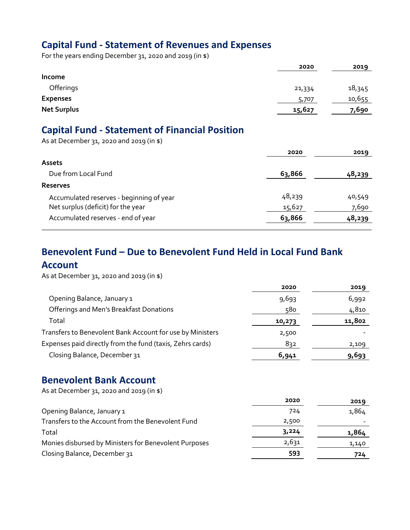## **Capital Fund - Statement of Revenues and Expenses**

For the years ending December 31, 2020 and 2019 (in \$)

|                    | 2020   | 2019   |
|--------------------|--------|--------|
| <b>Income</b>      |        |        |
| Offerings          | 21,334 | 18,345 |
| <b>Expenses</b>    | 5,707  | 10,655 |
| <b>Net Surplus</b> | 15,627 | 7,690  |

## **Capital Fund - Statement of Financial Position**

As at December 31, 2020 and 2019 (in \$)

|                                          | 2020   | 2019   |
|------------------------------------------|--------|--------|
| <b>Assets</b>                            |        |        |
| Due from Local Fund                      | 63,866 | 48,239 |
| <b>Reserves</b>                          |        |        |
| Accumulated reserves - beginning of year | 48,239 | 40,549 |
| Net surplus (deficit) for the year       | 15,627 | 7,690  |
| Accumulated reserves - end of year       | 63,866 | 48,239 |
|                                          |        |        |

## **Benevolent Fund – Due to Benevolent Fund Held in Local Fund Bank**

### **Account**

As at December 31, 2020 and 2019 (in \$)

|                                                           | 2020   | 2019   |
|-----------------------------------------------------------|--------|--------|
| Opening Balance, January 1                                | 9,693  | 6,992  |
| Offerings and Men's Breakfast Donations                   | 580    | 4,810  |
| Total                                                     | 10,273 | 11,802 |
| Transfers to Benevolent Bank Account for use by Ministers | 2,500  |        |
| Expenses paid directly from the fund (taxis, Zehrs cards) | 832    | 2,109  |
| Closing Balance, December 31                              | 6,941  | 9,693  |
|                                                           |        |        |

## **Benevolent Bank Account**

As at December 31, 2020 and 2019 (in \$) **2020 2019** Opening Balance, January 1 724 1,864 Transfers to the Account from the Benevolent Fund 2,500 Total **3,224 1,864** Monies disbursed by Ministers for Benevolent Purposes 2,631 2,631 Closing Balance, December 31 **593 724**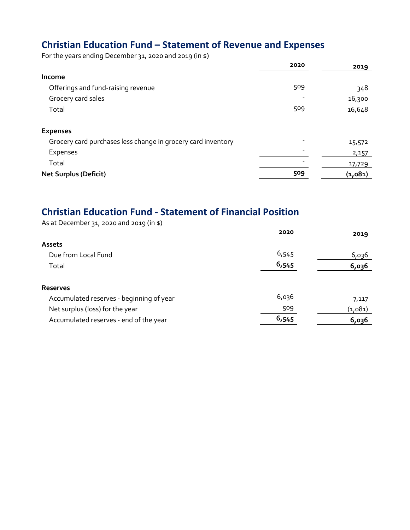## **Christian Education Fund – Statement of Revenue and Expenses**

For the years ending December 31, 2020 and 2019 (in \$)

| 2020 | 2019    |
|------|---------|
|      |         |
| 509  | 348     |
|      | 16,300  |
| 509  | 16,648  |
|      |         |
|      |         |
|      | 15,572  |
|      | 2,157   |
|      | 17,729  |
| 509  | (1,081) |
|      |         |

## **Christian Education Fund - Statement of Financial Position**

As at December 31, 2020 and 2019 (in \$)

|                                          | 2020  | 2019    |
|------------------------------------------|-------|---------|
| <b>Assets</b>                            |       |         |
| Due from Local Fund                      | 6,545 | 6,036   |
| Total                                    | 6,545 | 6,036   |
| <b>Reserves</b>                          |       |         |
| Accumulated reserves - beginning of year | 6,036 | 7,117   |
| Net surplus (loss) for the year          | 509   | (1,081) |
| Accumulated reserves - end of the year   | 6,545 | 6,036   |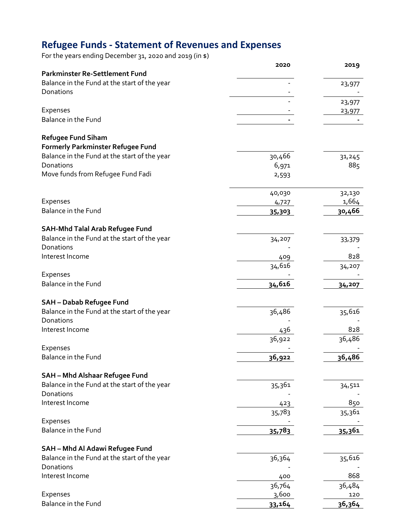## **Refugee Funds - Statement of Revenues and Expenses**

For the years ending December 31, 2020 and 2019 (in \$)

|                                                                | 2020          | 2019   |
|----------------------------------------------------------------|---------------|--------|
| Parkminster Re-Settlement Fund                                 |               |        |
| Balance in the Fund at the start of the year<br>Donations      |               | 23,977 |
|                                                                |               | 23,977 |
| Expenses                                                       |               | 23,977 |
| Balance in the Fund                                            |               |        |
|                                                                |               |        |
| Refugee Fund Siham<br><b>Formerly Parkminster Refugee Fund</b> |               |        |
| Balance in the Fund at the start of the year                   | 30,466        | 31,245 |
| Donations                                                      | 6,971         | 885    |
| Move funds from Refugee Fund Fadi                              | 2,593         |        |
|                                                                |               |        |
|                                                                | 40,030        | 32,130 |
| Expenses                                                       | 4,727         | 1,664  |
| <b>Balance in the Fund</b>                                     | 35,303        | 30,466 |
|                                                                |               |        |
| <b>SAH-Mhd Talal Arab Refugee Fund</b>                         |               |        |
| Balance in the Fund at the start of the year                   | 34,207        | 33,379 |
| Donations<br>Interest Income                                   |               | 828    |
|                                                                | 409<br>34,616 |        |
| Expenses                                                       |               | 34,207 |
| <b>Balance in the Fund</b>                                     | 34,616        | 34,207 |
|                                                                |               |        |
| <b>SAH - Dabab Refugee Fund</b>                                |               |        |
| Balance in the Fund at the start of the year                   | 36,486        | 35,616 |
| Donations                                                      |               |        |
| Interest Income                                                | 436           | 828    |
|                                                                | 36,922        | 36,486 |
| <b>Expenses</b>                                                |               |        |
| Balance in the Fund                                            | 36,922        | 36,486 |
|                                                                |               |        |
| SAH - Mhd Alshaar Refugee Fund                                 |               |        |
| Balance in the Fund at the start of the year<br>Donations      | 35,361        | 34,511 |
| Interest Income                                                | 423           | 850    |
|                                                                | 35,783        | 35,361 |
| <b>Expenses</b>                                                |               |        |
| Balance in the Fund                                            | 35,783        | 35,361 |
|                                                                |               |        |
| SAH - Mhd Al Adawi Refugee Fund                                |               |        |
| Balance in the Fund at the start of the year                   | 36,364        | 35,616 |
| Donations                                                      |               |        |
| Interest Income                                                | 400           | 868    |
|                                                                | 36,764        | 36,484 |
| Expenses                                                       | 3,600         | 120    |
| Balance in the Fund                                            | 33,164        | 36,364 |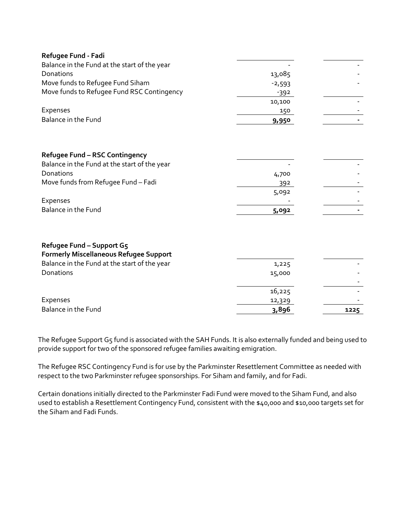|  | Refugee Fund - Fadi |
|--|---------------------|
|--|---------------------|

| 13,085   |  |
|----------|--|
| $-2,593$ |  |
| -392     |  |
| 10,100   |  |
| 150      |  |
| 9,950    |  |
|          |  |

### **Refugee Fund – RSC Contingency**

| Balance in the Fund at the start of the year |       |  |
|----------------------------------------------|-------|--|
| <b>Donations</b>                             | 4,700 |  |
| Move funds from Refugee Fund - Fadi          | 392   |  |
|                                              | 5,092 |  |
| Expenses                                     | -     |  |
| Balance in the Fund                          | 5,092 |  |

### **Refugee Fund – Support G5**

| <b>Formerly Miscellaneous Refugee Support</b> |        |      |
|-----------------------------------------------|--------|------|
| Balance in the Fund at the start of the year  | 1,225  |      |
| <b>Donations</b>                              | 15,000 |      |
|                                               |        |      |
|                                               | 16,225 |      |
| <b>Expenses</b>                               | 12,329 |      |
| Balance in the Fund                           | 3,896  | 1225 |

The Refugee Support G5 fund is associated with the SAH Funds. It is also externally funded and being used to provide support for two of the sponsored refugee families awaiting emigration.

The Refugee RSC Contingency Fund is for use by the Parkminster Resettlement Committee as needed with respect to the two Parkminster refugee sponsorships. For Siham and family, and for Fadi.

Certain donations initially directed to the Parkminster Fadi Fund were moved to the Siham Fund, and also used to establish a Resettlement Contingency Fund, consistent with the \$40,000 and \$10,000 targets set for the Siham and Fadi Funds.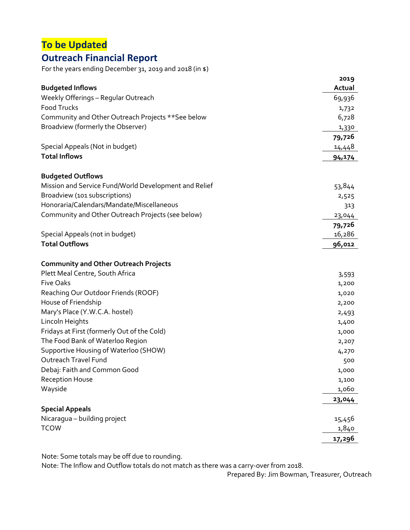# **To be Updated Outreach Financial Report**

For the years ending December 31, 2019 and 2018 (in \$)

|                                                       | 2019           |
|-------------------------------------------------------|----------------|
| <b>Budgeted Inflows</b>                               | Actual         |
| Weekly Offerings - Regular Outreach                   | 69,936         |
| <b>Food Trucks</b>                                    | 1,732          |
| Community and Other Outreach Projects ** See below    | 6,728          |
| Broadview (formerly the Observer)                     | 1,330          |
|                                                       | 79,726         |
| Special Appeals (Not in budget)                       | 14,448         |
| <b>Total Inflows</b>                                  | 94,174         |
| <b>Budgeted Outflows</b>                              |                |
| Mission and Service Fund/World Development and Relief | 53,844         |
| Broadview (101 subscriptions)                         | 2,525          |
| Honoraria/Calendars/Mandate/Miscellaneous             | 313            |
| Community and Other Outreach Projects (see below)     | 23,044         |
|                                                       | 79,726         |
| Special Appeals (not in budget)                       | 16,286         |
| <b>Total Outflows</b>                                 | 96,012         |
| <b>Community and Other Outreach Projects</b>          |                |
|                                                       |                |
| Plett Meal Centre, South Africa<br><b>Five Oaks</b>   | 3,593          |
|                                                       | 1,200          |
| Reaching Our Outdoor Friends (ROOF)                   | 1,020          |
| House of Friendship<br>Mary's Place (Y.W.C.A. hostel) | 2,200          |
| Lincoln Heights                                       | 2,493          |
| Fridays at First (formerly Out of the Cold)           | 1,400<br>1,000 |
| The Food Bank of Waterloo Region                      | 2,207          |
| Supportive Housing of Waterloo (SHOW)                 | 4,270          |
| Outreach Travel Fund                                  | 500            |
| Debaj: Faith and Common Good                          | 1,000          |
| <b>Reception House</b>                                | 1,100          |
| Wayside                                               | 1,060          |
|                                                       | 23,044         |
| <b>Special Appeals</b>                                |                |
| Nicaragua - building project                          | 15,456         |
| <b>TCOW</b>                                           | 1,840          |
|                                                       | 17,296         |
|                                                       |                |

Note: Some totals may be off due to rounding.

Note: The Inflow and Outflow totals do not match as there was a carry-over from 2018.

Prepared By: Jim Bowman, Treasurer, Outreach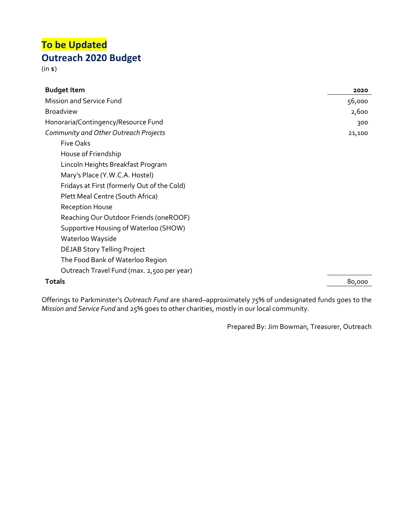# **To be Updated Outreach 2020 Budget**

(in \$)

| 2020   |
|--------|
| 56,000 |
| 2,600  |
| 300    |
| 21,100 |
|        |
|        |
|        |
|        |
|        |
|        |
|        |
|        |
|        |
|        |
|        |
|        |
|        |
| 80,000 |
|        |

Offerings to Parkminster's *Outreach Fund* are shared–approximately 75% of undesignated funds goes to the *Mission and Service Fund* and 25% goes to other charities, mostly in our local community.

Prepared By: Jim Bowman, Treasurer, Outreach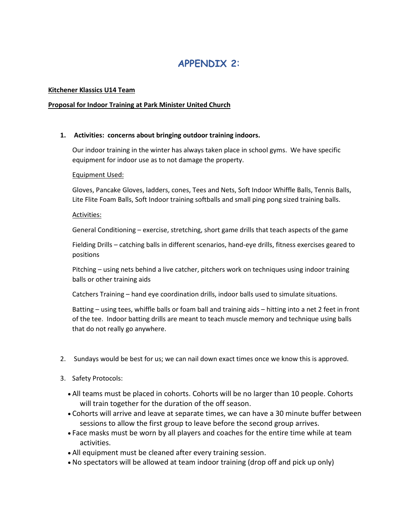# **APPENDIX 2**:

#### **Kitchener Klassics U14 Team**

#### **Proposal for Indoor Training at Park Minister United Church**

#### **1. Activities: concerns about bringing outdoor training indoors.**

Our indoor training in the winter has always taken place in school gyms. We have specific equipment for indoor use as to not damage the property.

#### Equipment Used:

Gloves, Pancake Gloves, ladders, cones, Tees and Nets, Soft Indoor Whiffle Balls, Tennis Balls, Lite Flite Foam Balls, Soft Indoor training softballs and small ping pong sized training balls.

#### Activities:

General Conditioning – exercise, stretching, short game drills that teach aspects of the game

Fielding Drills – catching balls in different scenarios, hand-eye drills, fitness exercises geared to positions

Pitching – using nets behind a live catcher, pitchers work on techniques using indoor training balls or other training aids

Catchers Training – hand eye coordination drills, indoor balls used to simulate situations.

Batting – using tees, whiffle balls or foam ball and training aids – hitting into a net 2 feet in front of the tee. Indoor batting drills are meant to teach muscle memory and technique using balls that do not really go anywhere.

- 2. Sundays would be best for us; we can nail down exact times once we know this is approved.
- 3. Safety Protocols:
	- All teams must be placed in cohorts. Cohorts will be no larger than 10 people. Cohorts will train together for the duration of the off season.
	- Cohorts will arrive and leave at separate times, we can have a 30 minute buffer between sessions to allow the first group to leave before the second group arrives.
	- Face masks must be worn by all players and coaches for the entire time while at team activities.
	- All equipment must be cleaned after every training session.
	- No spectators will be allowed at team indoor training (drop off and pick up only)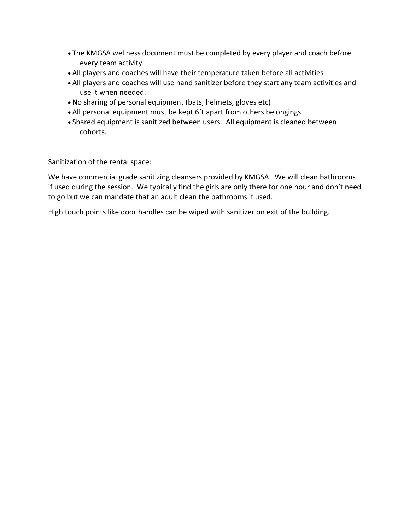- The KMGSA wellness document must be completed by every player and coach before every team activity.
- All players and coaches will have their temperature taken before all activities
- All players and coaches will use hand sanitizer before they start any team activities and use it when needed.
- No sharing of personal equipment (bats, helmets, gloves etc)
- All personal equipment must be kept 6ft apart from others belongings
- Shared equipment is sanitized between users. All equipment is cleaned between cohorts.

Sanitization of the rental space:

We have commercial grade sanitizing cleansers provided by KMGSA. We will clean bathrooms if used during the session. We typically find the girls are only there for one hour and don't need to go but we can mandate that an adult clean the bathrooms if used.

High touch points like door handles can be wiped with sanitizer on exit of the building.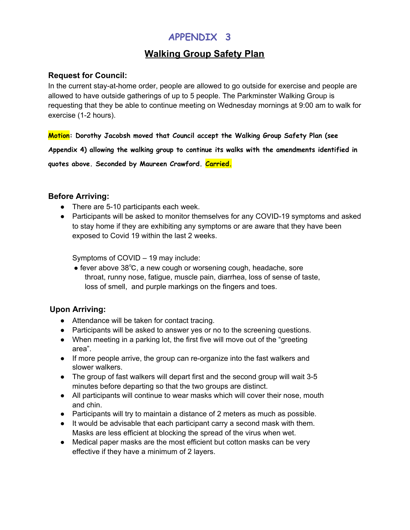## **APPENDIX 3**

## **Walking Group Safety Plan**

### **Request for Council:**

In the current stay-at-home order, people are allowed to go outside for exercise and people are allowed to have outside gatherings of up to 5 people. The Parkminster Walking Group is requesting that they be able to continue meeting on Wednesday mornings at 9:00 am to walk for exercise (1-2 hours).

**Motion: Dorothy Jacobsh moved that Council accept the Walking Group Safety Plan (see Appendix 4) allowing the walking group to continue its walks with the amendments identified in quotes above. Seconded by Maureen Crawford. Carried.**

### **Before Arriving:**

- There are 5-10 participants each week.
- Participants will be asked to monitor themselves for any COVID-19 symptoms and asked to stay home if they are exhibiting any symptoms or are aware that they have been exposed to Covid 19 within the last 2 weeks.

Symptoms of COVID – 19 may include:

● fever above 38℃, a new cough or worsening cough, headache, sore throat, runny nose, fatigue, muscle pain, diarrhea, loss of sense of taste, loss of smell, and purple markings on the fingers and toes.

### **Upon Arriving:**

- Attendance will be taken for contact tracing.
- Participants will be asked to answer yes or no to the screening questions.
- When meeting in a parking lot, the first five will move out of the "greeting" area".
- If more people arrive, the group can re-organize into the fast walkers and slower walkers.
- The group of fast walkers will depart first and the second group will wait 3-5 minutes before departing so that the two groups are distinct.
- All participants will continue to wear masks which will cover their nose, mouth and chin.
- Participants will try to maintain a distance of 2 meters as much as possible.
- It would be advisable that each participant carry a second mask with them. Masks are less efficient at blocking the spread of the virus when wet.
- Medical paper masks are the most efficient but cotton masks can be very effective if they have a minimum of 2 layers.